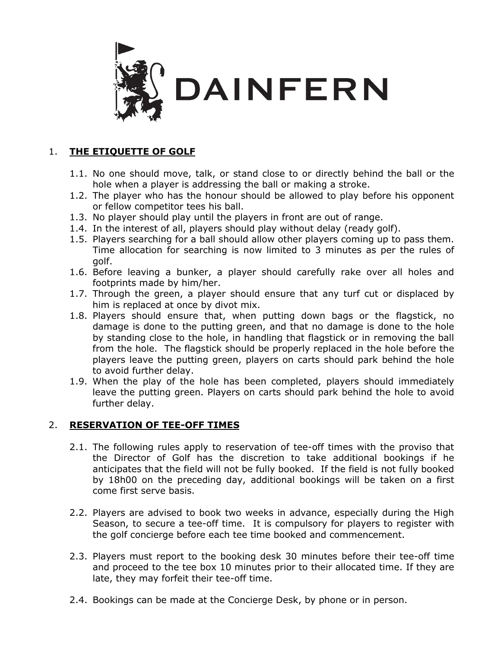

# 1. **THE ETIQUETTE OF GOLF**

- 1.1. No one should move, talk, or stand close to or directly behind the ball or the hole when a player is addressing the ball or making a stroke.
- 1.2. The player who has the honour should be allowed to play before his opponent or fellow competitor tees his ball.
- 1.3. No player should play until the players in front are out of range.
- 1.4. In the interest of all, players should play without delay (ready golf).
- 1.5. Players searching for a ball should allow other players coming up to pass them. Time allocation for searching is now limited to 3 minutes as per the rules of golf.
- 1.6. Before leaving a bunker, a player should carefully rake over all holes and footprints made by him/her.
- 1.7. Through the green, a player should ensure that any turf cut or displaced by him is replaced at once by divot mix.
- 1.8. Players should ensure that, when putting down bags or the flagstick, no damage is done to the putting green, and that no damage is done to the hole by standing close to the hole, in handling that flagstick or in removing the ball from the hole. The flagstick should be properly replaced in the hole before the players leave the putting green, players on carts should park behind the hole to avoid further delay.
- 1.9. When the play of the hole has been completed, players should immediately leave the putting green. Players on carts should park behind the hole to avoid further delay.

## 2. **RESERVATION OF TEE-OFF TIMES**

- 2.1. The following rules apply to reservation of tee-off times with the proviso that the Director of Golf has the discretion to take additional bookings if he anticipates that the field will not be fully booked. If the field is not fully booked by 18h00 on the preceding day, additional bookings will be taken on a first come first serve basis.
- 2.2. Players are advised to book two weeks in advance, especially during the High Season, to secure a tee-off time. It is compulsory for players to register with the golf concierge before each tee time booked and commencement.
- 2.3. Players must report to the booking desk 30 minutes before their tee-off time and proceed to the tee box 10 minutes prior to their allocated time. If they are late, they may forfeit their tee-off time.
- 2.4. Bookings can be made at the Concierge Desk, by phone or in person.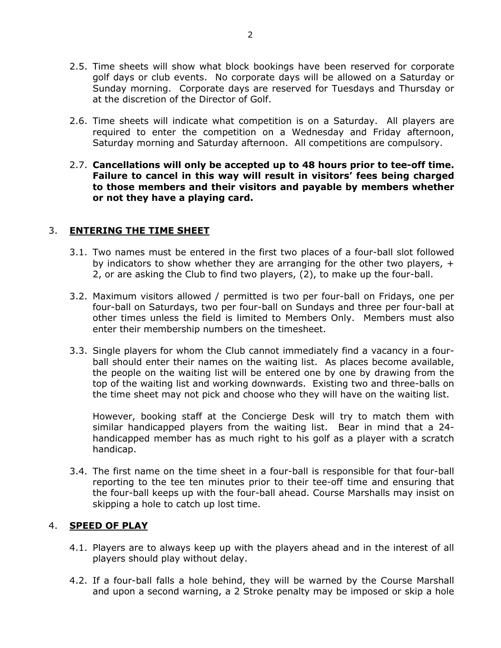- 2.5. Time sheets will show what block bookings have been reserved for corporate golf days or club events. No corporate days will be allowed on a Saturday or Sunday morning. Corporate days are reserved for Tuesdays and Thursday or at the discretion of the Director of Golf.
- 2.6. Time sheets will indicate what competition is on a Saturday. All players are required to enter the competition on a Wednesday and Friday afternoon, Saturday morning and Saturday afternoon. All competitions are compulsory.
- 2.7. **Cancellations will only be accepted up to 48 hours prior to tee-off time. Failure to cancel in this way will result in visitors' fees being charged to those members and their visitors and payable by members whether or not they have a playing card.**

### 3. **ENTERING THE TIME SHEET**

- 3.1. Two names must be entered in the first two places of a four-ball slot followed by indicators to show whether they are arranging for the other two players,  $+$ 2, or are asking the Club to find two players, (2), to make up the four-ball.
- 3.2. Maximum visitors allowed / permitted is two per four-ball on Fridays, one per four-ball on Saturdays, two per four-ball on Sundays and three per four-ball at other times unless the field is limited to Members Only. Members must also enter their membership numbers on the timesheet.
- 3.3. Single players for whom the Club cannot immediately find a vacancy in a fourball should enter their names on the waiting list. As places become available, the people on the waiting list will be entered one by one by drawing from the top of the waiting list and working downwards. Existing two and three-balls on the time sheet may not pick and choose who they will have on the waiting list.

However, booking staff at the Concierge Desk will try to match them with similar handicapped players from the waiting list. Bear in mind that a 24 handicapped member has as much right to his golf as a player with a scratch handicap.

3.4. The first name on the time sheet in a four-ball is responsible for that four-ball reporting to the tee ten minutes prior to their tee-off time and ensuring that the four-ball keeps up with the four-ball ahead. Course Marshalls may insist on skipping a hole to catch up lost time.

#### 4. **SPEED OF PLAY**

- 4.1. Players are to always keep up with the players ahead and in the interest of all players should play without delay.
- 4.2. If a four-ball falls a hole behind, they will be warned by the Course Marshall and upon a second warning, a 2 Stroke penalty may be imposed or skip a hole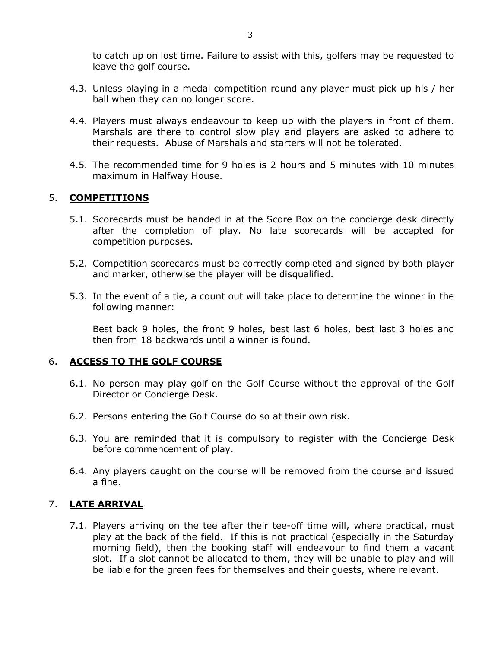to catch up on lost time. Failure to assist with this, golfers may be requested to leave the golf course.

- 4.3. Unless playing in a medal competition round any player must pick up his / her ball when they can no longer score.
- 4.4. Players must always endeavour to keep up with the players in front of them. Marshals are there to control slow play and players are asked to adhere to their requests. Abuse of Marshals and starters will not be tolerated.
- 4.5. The recommended time for 9 holes is 2 hours and 5 minutes with 10 minutes maximum in Halfway House.

### 5. **COMPETITIONS**

- 5.1. Scorecards must be handed in at the Score Box on the concierge desk directly after the completion of play. No late scorecards will be accepted for competition purposes.
- 5.2. Competition scorecards must be correctly completed and signed by both player and marker, otherwise the player will be disqualified.
- 5.3. In the event of a tie, a count out will take place to determine the winner in the following manner:

Best back 9 holes, the front 9 holes, best last 6 holes, best last 3 holes and then from 18 backwards until a winner is found.

### 6. **ACCESS TO THE GOLF COURSE**

- 6.1. No person may play golf on the Golf Course without the approval of the Golf Director or Concierge Desk.
- 6.2. Persons entering the Golf Course do so at their own risk.
- 6.3. You are reminded that it is compulsory to register with the Concierge Desk before commencement of play.
- 6.4. Any players caught on the course will be removed from the course and issued a fine.

### 7. **LATE ARRIVAL**

7.1. Players arriving on the tee after their tee-off time will, where practical, must play at the back of the field. If this is not practical (especially in the Saturday morning field), then the booking staff will endeavour to find them a vacant slot. If a slot cannot be allocated to them, they will be unable to play and will be liable for the green fees for themselves and their guests, where relevant.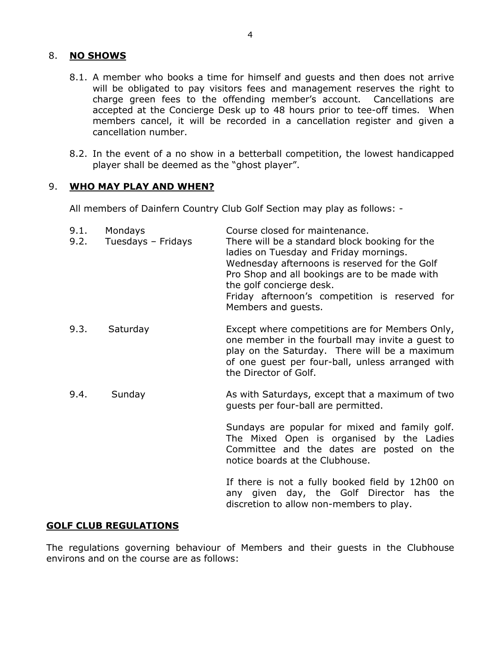### 8. **NO SHOWS**

- 8.1. A member who books a time for himself and guests and then does not arrive will be obligated to pay visitors fees and management reserves the right to charge green fees to the offending member's account. Cancellations are accepted at the Concierge Desk up to 48 hours prior to tee-off times. When members cancel, it will be recorded in a cancellation register and given a cancellation number.
- 8.2. In the event of a no show in a betterball competition, the lowest handicapped player shall be deemed as the "ghost player".

### 9. **WHO MAY PLAY AND WHEN?**

All members of Dainfern Country Club Golf Section may play as follows: -

| 9.1.<br>9.2. | Mondays<br>Tuesdays - Fridays | Course closed for maintenance.<br>There will be a standard block booking for the<br>ladies on Tuesday and Friday mornings.<br>Wednesday afternoons is reserved for the Golf<br>Pro Shop and all bookings are to be made with<br>the golf concierge desk.<br>Friday afternoon's competition is reserved for<br>Members and guests. |
|--------------|-------------------------------|-----------------------------------------------------------------------------------------------------------------------------------------------------------------------------------------------------------------------------------------------------------------------------------------------------------------------------------|
| 9.3.         | Saturday                      | Except where competitions are for Members Only,<br>one member in the fourball may invite a guest to<br>play on the Saturday. There will be a maximum<br>of one guest per four-ball, unless arranged with<br>the Director of Golf.                                                                                                 |
| 9.4.         | Sunday                        | As with Saturdays, except that a maximum of two<br>quests per four-ball are permitted.                                                                                                                                                                                                                                            |
|              |                               | Sundays are popular for mixed and family golf.<br>The Mixed Open is organised by the Ladies<br>Committee and the dates are posted on the<br>notice boards at the Clubhouse.                                                                                                                                                       |
|              |                               | If there is not a fully booked field by 12h00 on<br>any given day, the Golf Director has the<br>discretion to allow non-members to play.                                                                                                                                                                                          |

### **GOLF CLUB REGULATIONS**

The regulations governing behaviour of Members and their guests in the Clubhouse environs and on the course are as follows: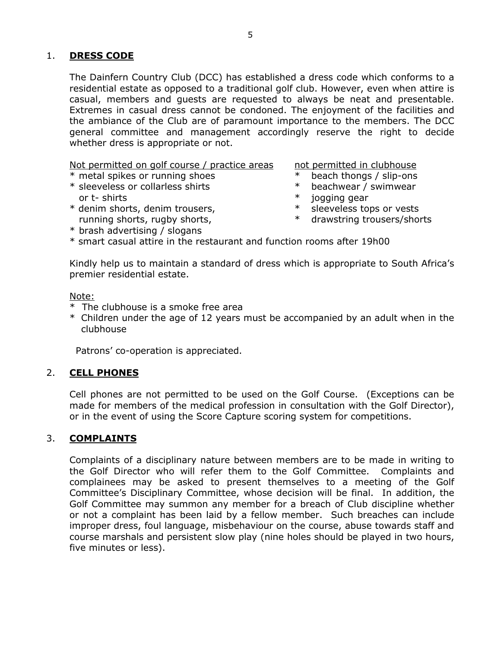## 1. **DRESS CODE**

The Dainfern Country Club (DCC) has established a dress code which conforms to a residential estate as opposed to a traditional golf club. However, even when attire is casual, members and guests are requested to always be neat and presentable. Extremes in casual dress cannot be condoned. The enjoyment of the facilities and the ambiance of the Club are of paramount importance to the members. The DCC general committee and management accordingly reserve the right to decide whether dress is appropriate or not.

Not permitted on golf course / practice areas not permitted in clubhouse

- \* metal spikes or running shoes \* beach thongs / slip-ons
- \* sleeveless or collarless shirts \* beachwear / swimwear or t- shirts  $\bullet$  jogging gear
- \* denim shorts, denim trousers, \* sleeveless tops or vests
- \* brash advertising / slogans

- 
- 
- 
- 
- running shorts, rugby shorts,  $*$  drawstring trousers/shorts
- 
- \* smart casual attire in the restaurant and function rooms after 19h00

Kindly help us to maintain a standard of dress which is appropriate to South Africa's premier residential estate.

#### Note:

- \* The clubhouse is a smoke free area
- \* Children under the age of 12 years must be accompanied by an adult when in the clubhouse

Patrons' co-operation is appreciated.

### 2. **CELL PHONES**

Cell phones are not permitted to be used on the Golf Course. (Exceptions can be made for members of the medical profession in consultation with the Golf Director), or in the event of using the Score Capture scoring system for competitions.

### 3. **COMPLAINTS**

Complaints of a disciplinary nature between members are to be made in writing to the Golf Director who will refer them to the Golf Committee. Complaints and complainees may be asked to present themselves to a meeting of the Golf Committee's Disciplinary Committee, whose decision will be final. In addition, the Golf Committee may summon any member for a breach of Club discipline whether or not a complaint has been laid by a fellow member. Such breaches can include improper dress, foul language, misbehaviour on the course, abuse towards staff and course marshals and persistent slow play (nine holes should be played in two hours, five minutes or less).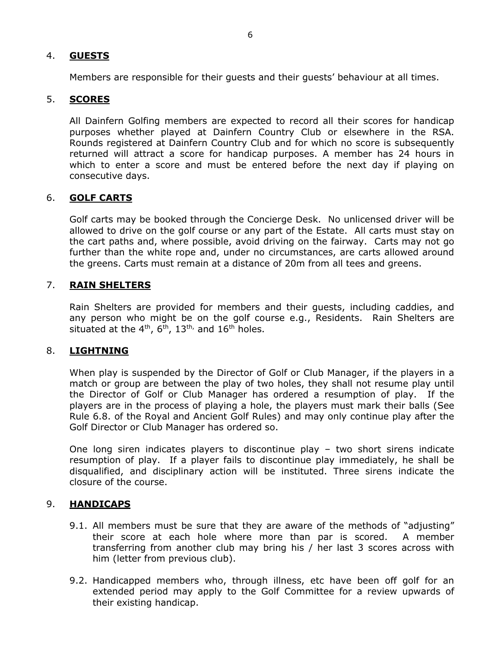## 4. **GUESTS**

Members are responsible for their guests and their guests' behaviour at all times.

## 5. **SCORES**

All Dainfern Golfing members are expected to record all their scores for handicap purposes whether played at Dainfern Country Club or elsewhere in the RSA. Rounds registered at Dainfern Country Club and for which no score is subsequently returned will attract a score for handicap purposes. A member has 24 hours in which to enter a score and must be entered before the next day if playing on consecutive days.

## 6. **GOLF CARTS**

Golf carts may be booked through the Concierge Desk. No unlicensed driver will be allowed to drive on the golf course or any part of the Estate. All carts must stay on the cart paths and, where possible, avoid driving on the fairway. Carts may not go further than the white rope and, under no circumstances, are carts allowed around the greens. Carts must remain at a distance of 20m from all tees and greens.

## 7. **RAIN SHELTERS**

Rain Shelters are provided for members and their guests, including caddies, and any person who might be on the golf course e.g., Residents. Rain Shelters are situated at the  $4<sup>th</sup>$ ,  $6<sup>th</sup>$ , 13<sup>th,</sup> and 16<sup>th</sup> holes.

## 8. **LIGHTNING**

When play is suspended by the Director of Golf or Club Manager, if the players in a match or group are between the play of two holes, they shall not resume play until the Director of Golf or Club Manager has ordered a resumption of play. If the players are in the process of playing a hole, the players must mark their balls (See Rule 6.8. of the Royal and Ancient Golf Rules) and may only continue play after the Golf Director or Club Manager has ordered so.

One long siren indicates players to discontinue play – two short sirens indicate resumption of play. If a player fails to discontinue play immediately, he shall be disqualified, and disciplinary action will be instituted. Three sirens indicate the closure of the course.

## 9. **HANDICAPS**

- 9.1. All members must be sure that they are aware of the methods of "adjusting" their score at each hole where more than par is scored. A member transferring from another club may bring his / her last 3 scores across with him (letter from previous club).
- 9.2. Handicapped members who, through illness, etc have been off golf for an extended period may apply to the Golf Committee for a review upwards of their existing handicap.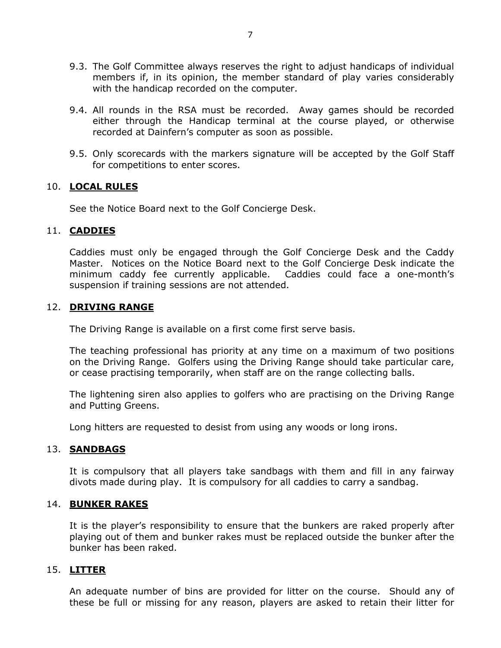- 9.3. The Golf Committee always reserves the right to adjust handicaps of individual members if, in its opinion, the member standard of play varies considerably with the handicap recorded on the computer.
- 9.4. All rounds in the RSA must be recorded. Away games should be recorded either through the Handicap terminal at the course played, or otherwise recorded at Dainfern's computer as soon as possible.
- 9.5. Only scorecards with the markers signature will be accepted by the Golf Staff for competitions to enter scores.

#### 10. **LOCAL RULES**

See the Notice Board next to the Golf Concierge Desk.

### 11. **CADDIES**

Caddies must only be engaged through the Golf Concierge Desk and the Caddy Master. Notices on the Notice Board next to the Golf Concierge Desk indicate the minimum caddy fee currently applicable. Caddies could face a one-month's suspension if training sessions are not attended.

#### 12. **DRIVING RANGE**

The Driving Range is available on a first come first serve basis.

The teaching professional has priority at any time on a maximum of two positions on the Driving Range. Golfers using the Driving Range should take particular care, or cease practising temporarily, when staff are on the range collecting balls.

The lightening siren also applies to golfers who are practising on the Driving Range and Putting Greens.

Long hitters are requested to desist from using any woods or long irons.

#### 13. **SANDBAGS**

It is compulsory that all players take sandbags with them and fill in any fairway divots made during play. It is compulsory for all caddies to carry a sandbag.

### 14. **BUNKER RAKES**

It is the player's responsibility to ensure that the bunkers are raked properly after playing out of them and bunker rakes must be replaced outside the bunker after the bunker has been raked.

### 15. **LITTER**

An adequate number of bins are provided for litter on the course. Should any of these be full or missing for any reason, players are asked to retain their litter for